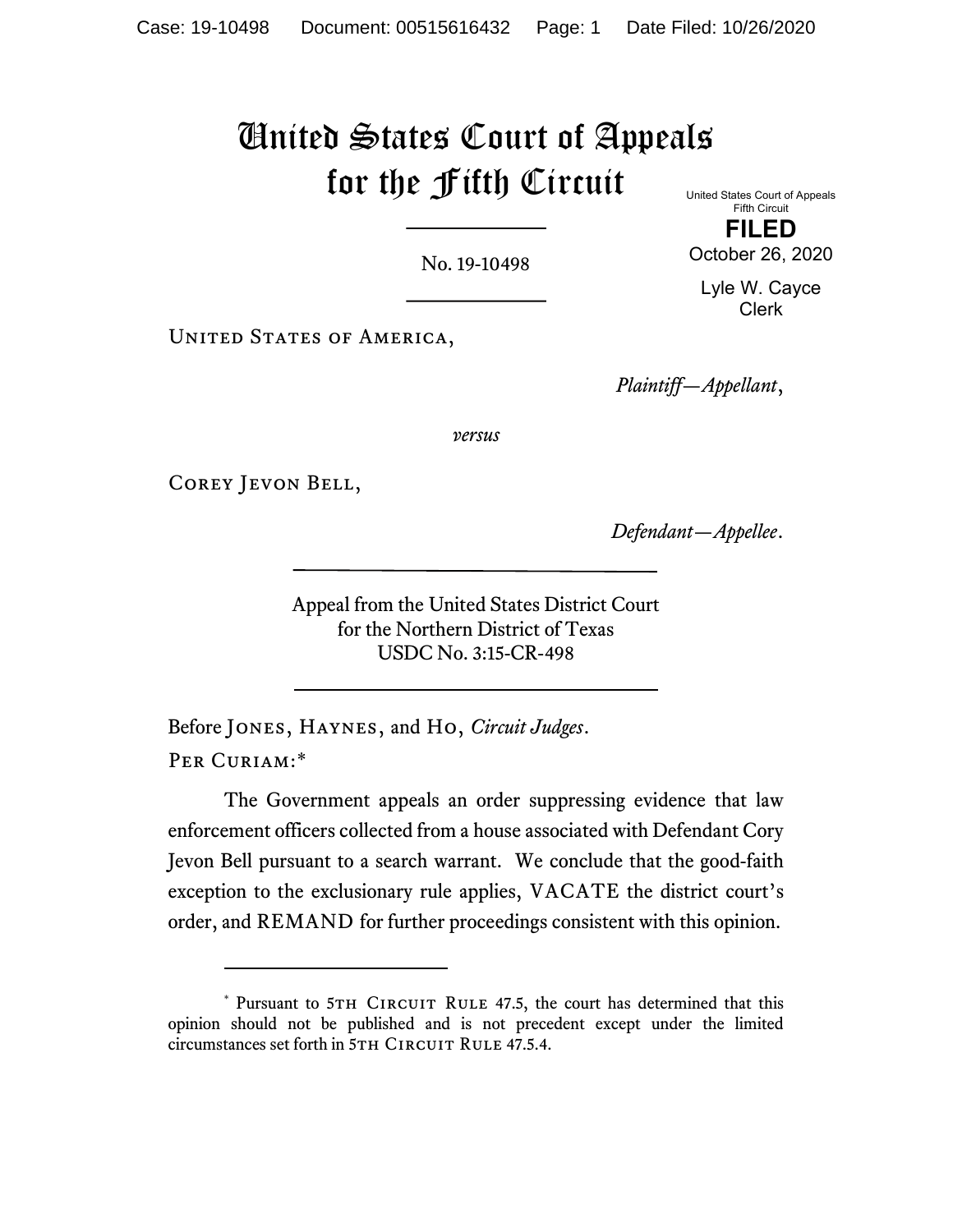# United States Court of Appeals for the Fifth Circuit

No. 19-10498

United States Court of Appeals Fifth Circuit FILED

October 26, 2020 Lyle W. Cayce

Clerk

UNITED STATES OF AMERICA,

Plaintiff—Appellant,

versus

Corey Jevon Bell,

Defendant—Appellee.

Appeal from the United States District Court for the Northern District of Texas USDC No. 3:15-CR-498

Before JONES, HAYNES, and HO, Circuit Judges. PER CURIAM:\*

The Government appeals an order suppressing evidence that law enforcement officers collected from a house associated with Defendant Cory Jevon Bell pursuant to a search warrant. We conclude that the good-faith exception to the exclusionary rule applies, VACATE the district court's order, and REMAND for further proceedings consistent with this opinion.

<sup>\*</sup> Pursuant to 5TH CIRCUIT RULE 47.5, the court has determined that this opinion should not be published and is not precedent except under the limited circumstances set forth in 5TH CIRCUIT RULE 47.5.4.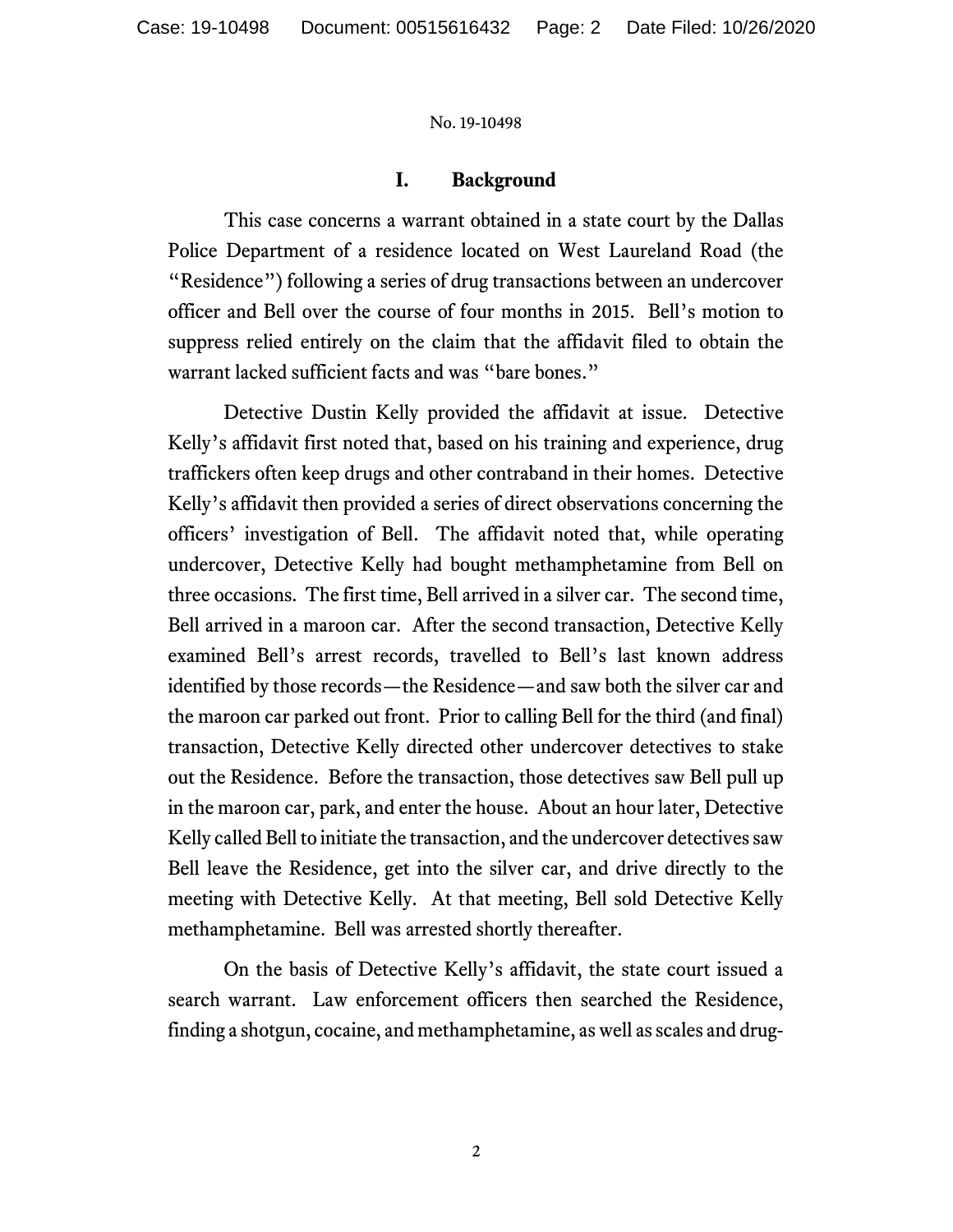## I. Background

This case concerns a warrant obtained in a state court by the Dallas Police Department of a residence located on West Laureland Road (the "Residence") following a series of drug transactions between an undercover officer and Bell over the course of four months in 2015. Bell's motion to suppress relied entirely on the claim that the affidavit filed to obtain the warrant lacked sufficient facts and was "bare bones."

Detective Dustin Kelly provided the affidavit at issue. Detective Kelly's affidavit first noted that, based on his training and experience, drug traffickers often keep drugs and other contraband in their homes. Detective Kelly's affidavit then provided a series of direct observations concerning the officers' investigation of Bell. The affidavit noted that, while operating undercover, Detective Kelly had bought methamphetamine from Bell on three occasions. The first time, Bell arrived in a silver car. The second time, Bell arrived in a maroon car. After the second transaction, Detective Kelly examined Bell's arrest records, travelled to Bell's last known address identified by those records—the Residence—and saw both the silver car and the maroon car parked out front. Prior to calling Bell for the third (and final) transaction, Detective Kelly directed other undercover detectives to stake out the Residence. Before the transaction, those detectives saw Bell pull up in the maroon car, park, and enter the house. About an hour later, Detective Kelly called Bell to initiate the transaction, and the undercover detectives saw Bell leave the Residence, get into the silver car, and drive directly to the meeting with Detective Kelly. At that meeting, Bell sold Detective Kelly methamphetamine. Bell was arrested shortly thereafter.

On the basis of Detective Kelly's affidavit, the state court issued a search warrant. Law enforcement officers then searched the Residence, finding a shotgun, cocaine, and methamphetamine, as well as scales and drug-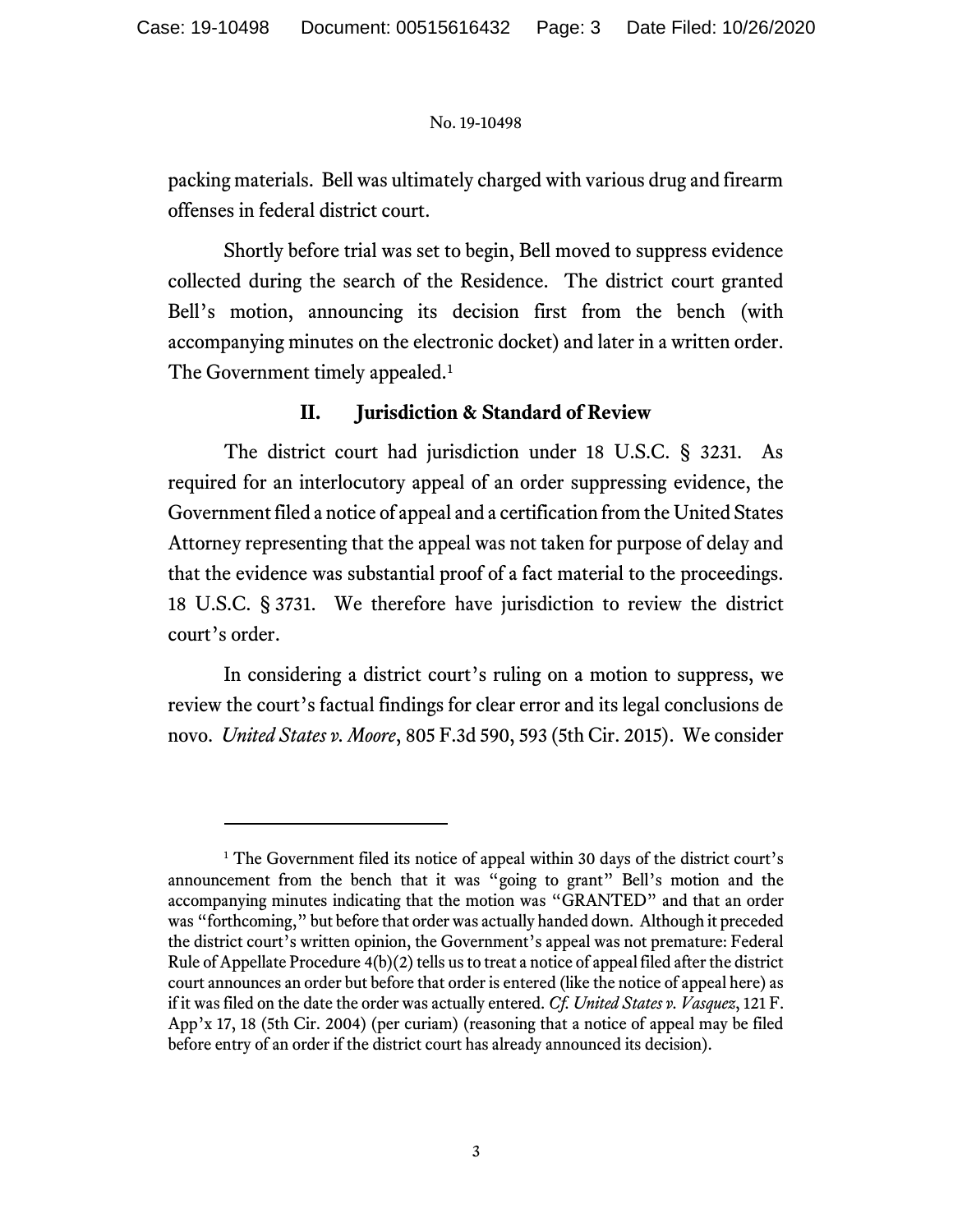packing materials. Bell was ultimately charged with various drug and firearm offenses in federal district court.

Shortly before trial was set to begin, Bell moved to suppress evidence collected during the search of the Residence. The district court granted Bell's motion, announcing its decision first from the bench (with accompanying minutes on the electronic docket) and later in a written order. The Government timely appealed.<sup>1</sup>

## II. Jurisdiction & Standard of Review

The district court had jurisdiction under 18 U.S.C. § 3231. As required for an interlocutory appeal of an order suppressing evidence, the Government filed a notice of appeal and a certification from the United States Attorney representing that the appeal was not taken for purpose of delay and that the evidence was substantial proof of a fact material to the proceedings. 18 U.S.C. § 3731. We therefore have jurisdiction to review the district court's order.

 In considering a district court's ruling on a motion to suppress, we review the court's factual findings for clear error and its legal conclusions de novo. United States v. Moore, 805 F.3d 590, 593 (5th Cir. 2015). We consider

<sup>&</sup>lt;sup>1</sup> The Government filed its notice of appeal within 30 days of the district court's announcement from the bench that it was "going to grant" Bell's motion and the accompanying minutes indicating that the motion was "GRANTED" and that an order was "forthcoming," but before that order was actually handed down. Although it preceded the district court's written opinion, the Government's appeal was not premature: Federal Rule of Appellate Procedure 4(b)(2) tells us to treat a notice of appeal filed after the district court announces an order but before that order is entered (like the notice of appeal here) as if it was filed on the date the order was actually entered. Cf. United States v. Vasquez,  $121$  F. App'x 17, 18 (5th Cir. 2004) (per curiam) (reasoning that a notice of appeal may be filed before entry of an order if the district court has already announced its decision).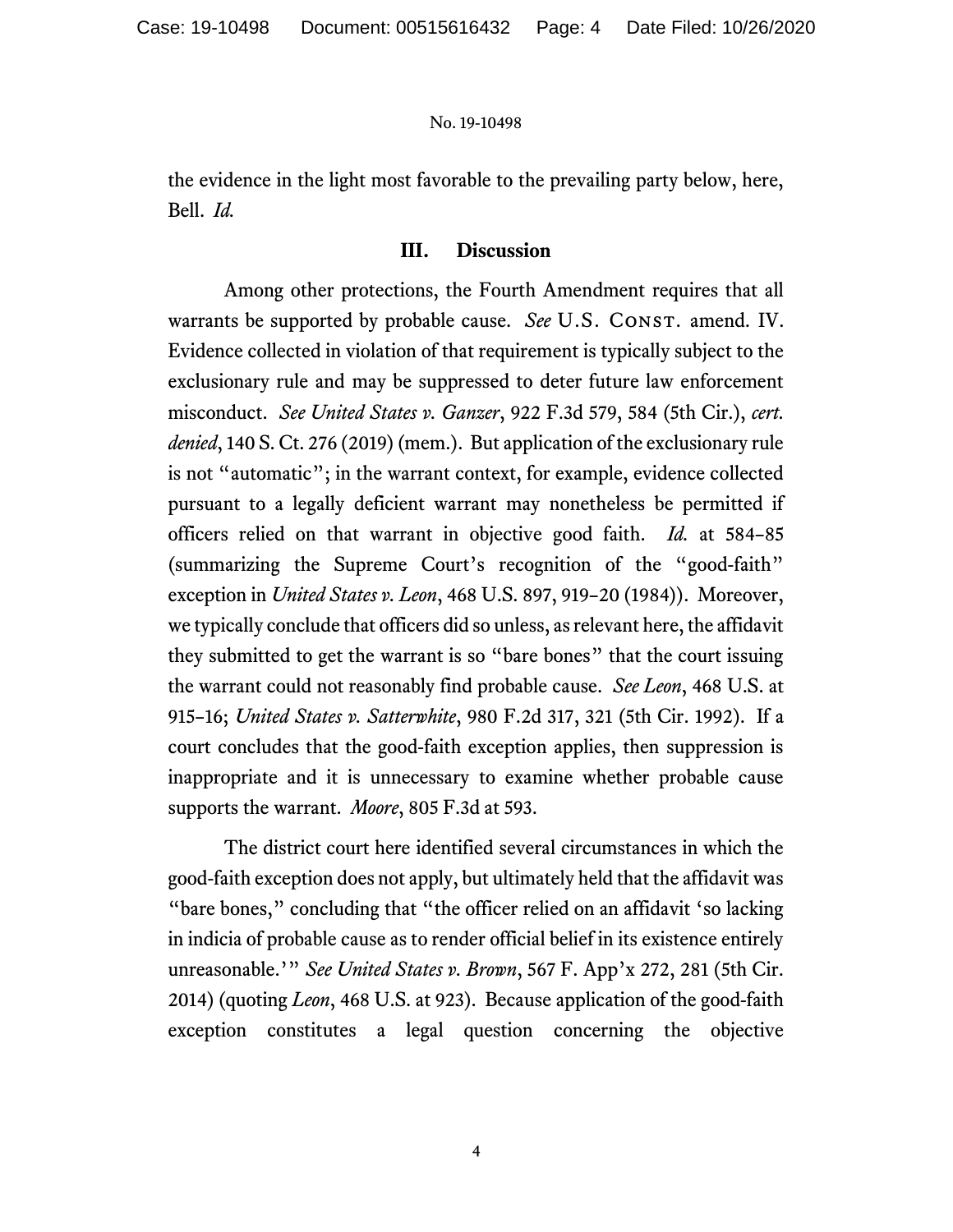the evidence in the light most favorable to the prevailing party below, here, Bell. Id.

## III. Discussion

Among other protections, the Fourth Amendment requires that all warrants be supported by probable cause. See U.S. CONST. amend. IV. Evidence collected in violation of that requirement is typically subject to the exclusionary rule and may be suppressed to deter future law enforcement misconduct. See United States v. Ganzer, 922 F.3d 579, 584 (5th Cir.), cert. denied, 140 S. Ct. 276 (2019) (mem.). But application of the exclusionary rule is not "automatic"; in the warrant context, for example, evidence collected pursuant to a legally deficient warrant may nonetheless be permitted if officers relied on that warrant in objective good faith. *Id.* at 584–85 (summarizing the Supreme Court's recognition of the "good-faith" exception in *United States v. Leon*, 468 U.S. 897, 919-20 (1984)). Moreover, we typically conclude that officers did so unless, as relevant here, the affidavit they submitted to get the warrant is so "bare bones" that the court issuing the warrant could not reasonably find probable cause. See Leon, 468 U.S. at 915–16; United States v. Satterwhite, 980 F.2d 317, 321 (5th Cir. 1992). If a court concludes that the good-faith exception applies, then suppression is inappropriate and it is unnecessary to examine whether probable cause supports the warrant. Moore, 805 F.3d at 593.

The district court here identified several circumstances in which the good-faith exception does not apply, but ultimately held that the affidavit was "bare bones," concluding that "the officer relied on an affidavit 'so lacking in indicia of probable cause as to render official belief in its existence entirely unreasonable.'" See United States v. Brown, 567 F. App'x 272, 281 (5th Cir. 2014) (quoting Leon, 468 U.S. at 923). Because application of the good-faith exception constitutes a legal question concerning the objective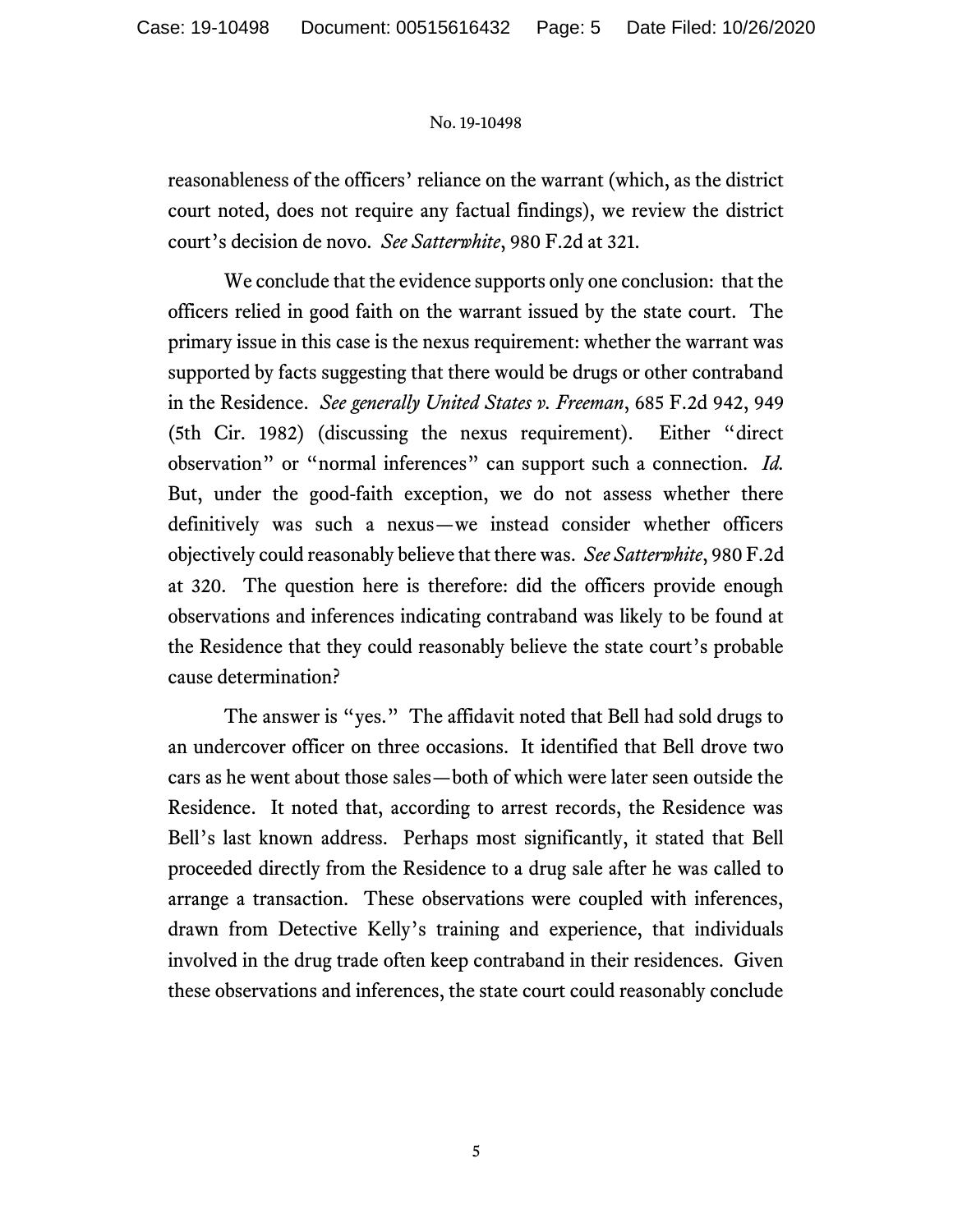reasonableness of the officers' reliance on the warrant (which, as the district court noted, does not require any factual findings), we review the district court's decision de novo. See Satterwhite, 980 F.2d at 321.

We conclude that the evidence supports only one conclusion: that the officers relied in good faith on the warrant issued by the state court. The primary issue in this case is the nexus requirement: whether the warrant was supported by facts suggesting that there would be drugs or other contraband in the Residence. See generally United States v. Freeman, 685 F.2d 942, 949 (5th Cir. 1982) (discussing the nexus requirement). Either "direct observation" or "normal inferences" can support such a connection. Id. But, under the good-faith exception, we do not assess whether there definitively was such a nexus—we instead consider whether officers objectively could reasonably believe that there was. See Satterwhite, 980 F.2d at 320. The question here is therefore: did the officers provide enough observations and inferences indicating contraband was likely to be found at the Residence that they could reasonably believe the state court's probable cause determination?

The answer is "yes." The affidavit noted that Bell had sold drugs to an undercover officer on three occasions. It identified that Bell drove two cars as he went about those sales—both of which were later seen outside the Residence. It noted that, according to arrest records, the Residence was Bell's last known address. Perhaps most significantly, it stated that Bell proceeded directly from the Residence to a drug sale after he was called to arrange a transaction. These observations were coupled with inferences, drawn from Detective Kelly's training and experience, that individuals involved in the drug trade often keep contraband in their residences. Given these observations and inferences, the state court could reasonably conclude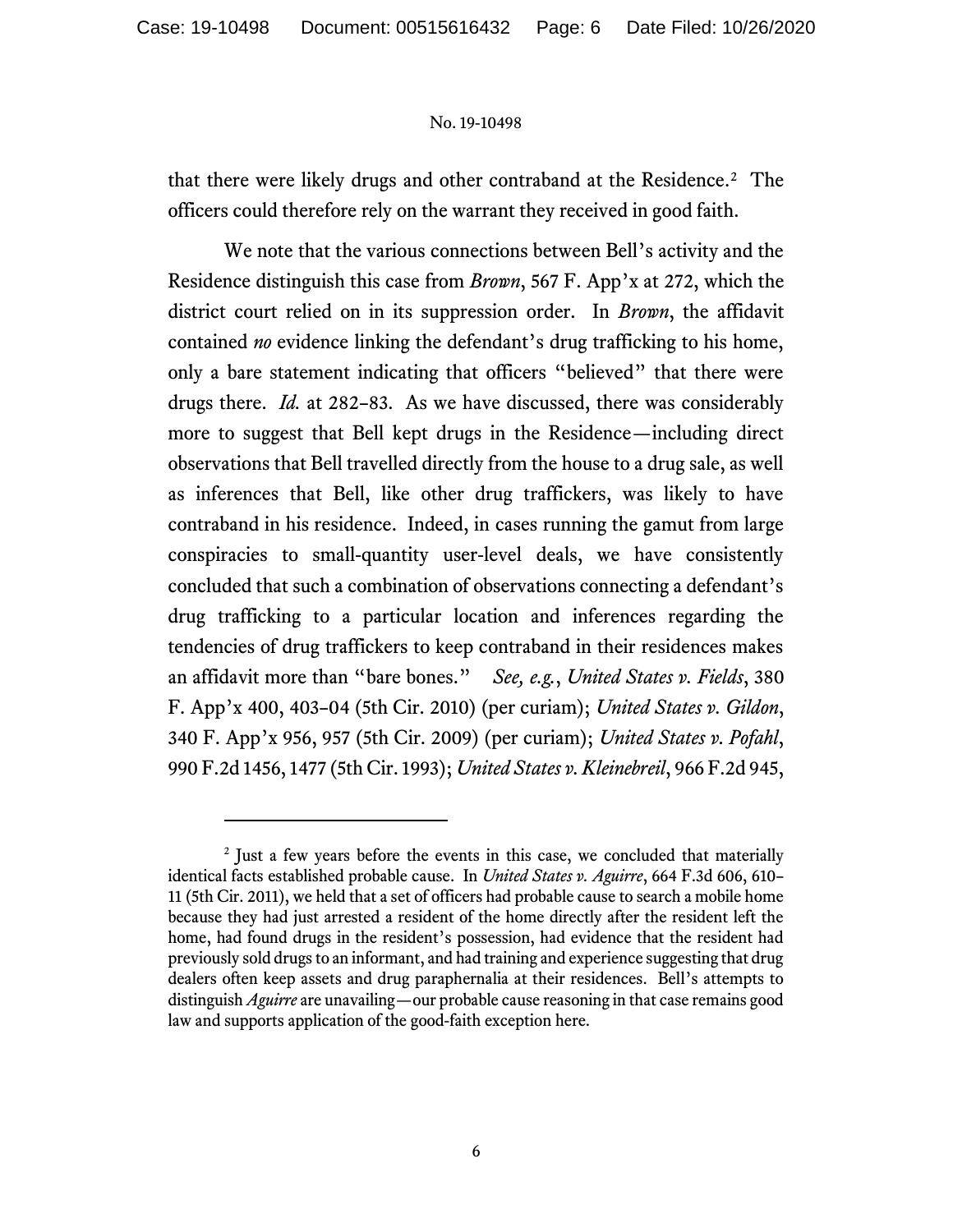that there were likely drugs and other contraband at the Residence.<sup>2</sup> The officers could therefore rely on the warrant they received in good faith.

We note that the various connections between Bell's activity and the Residence distinguish this case from Brown, 567 F. App'x at 272, which the district court relied on in its suppression order. In Brown, the affidavit contained no evidence linking the defendant's drug trafficking to his home, only a bare statement indicating that officers "believed" that there were drugs there. Id. at 282–83. As we have discussed, there was considerably more to suggest that Bell kept drugs in the Residence—including direct observations that Bell travelled directly from the house to a drug sale, as well as inferences that Bell, like other drug traffickers, was likely to have contraband in his residence. Indeed, in cases running the gamut from large conspiracies to small-quantity user-level deals, we have consistently concluded that such a combination of observations connecting a defendant's drug trafficking to a particular location and inferences regarding the tendencies of drug traffickers to keep contraband in their residences makes an affidavit more than "bare bones." See, e.g., United States v. Fields, 380 F. App'x 400, 403-04 (5th Cir. 2010) (per curiam); United States v. Gildon, 340 F. App'x 956, 957 (5th Cir. 2009) (per curiam); United States v. Pofahl, 990 F.2d 1456, 1477 (5th Cir. 1993); United States v. Kleinebreil, 966 F.2d 945,

<sup>&</sup>lt;sup>2</sup> Just a few years before the events in this case, we concluded that materially identical facts established probable cause. In *United States v. Aguirre*, 664 F.3d 606, 610– 11 (5th Cir. 2011), we held that a set of officers had probable cause to search a mobile home because they had just arrested a resident of the home directly after the resident left the home, had found drugs in the resident's possession, had evidence that the resident had previously sold drugs to an informant, and had training and experience suggesting that drug dealers often keep assets and drug paraphernalia at their residences. Bell's attempts to distinguish *Aguirre* are unavailing—our probable cause reasoning in that case remains good law and supports application of the good-faith exception here.